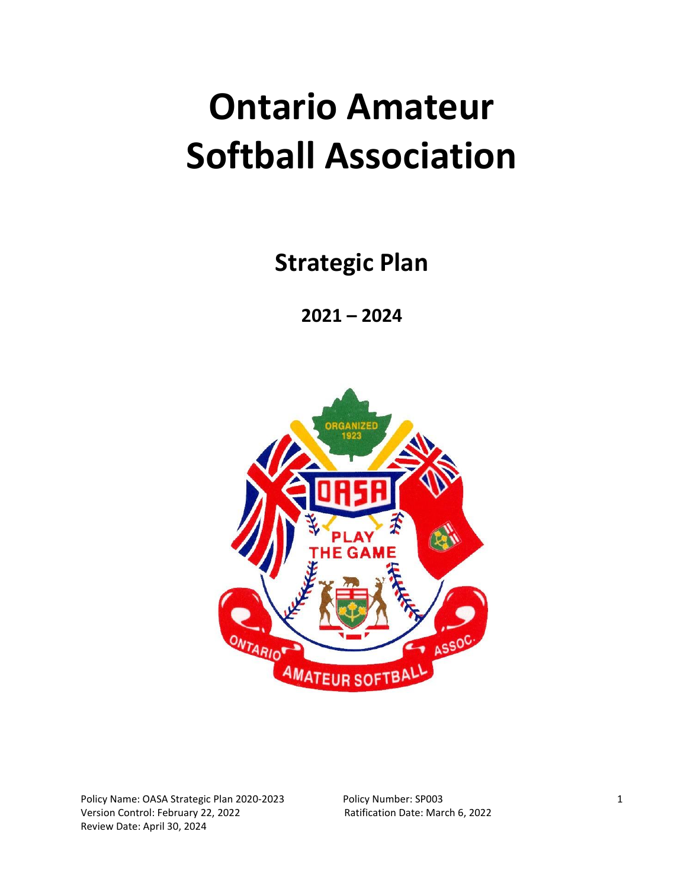# **Ontario Amateur Softball Association**

**Strategic Plan** 

**2021 – 2024**

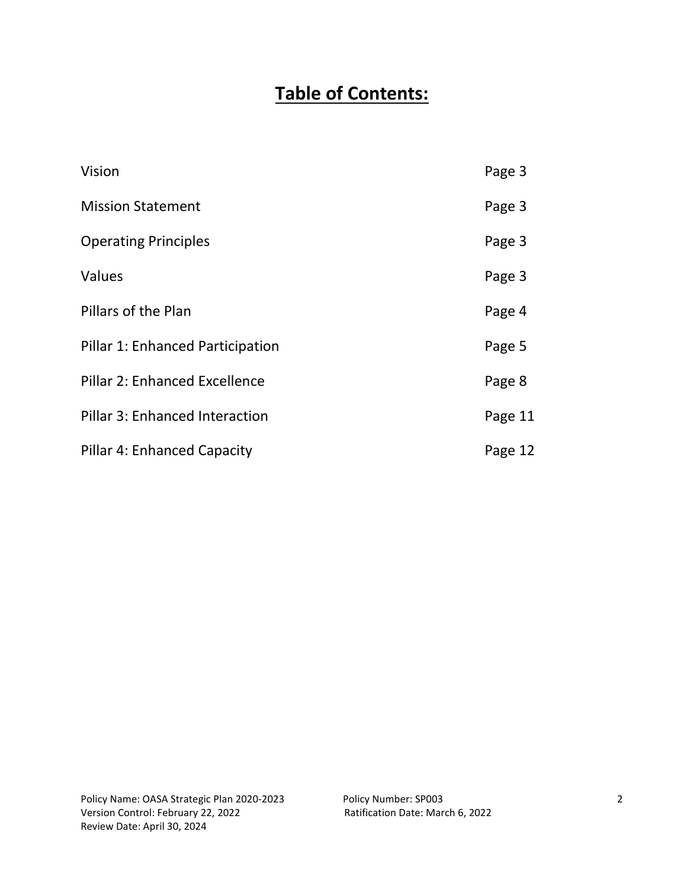# **Table of Contents:**

| Vision                                | Page 3  |
|---------------------------------------|---------|
| <b>Mission Statement</b>              | Page 3  |
| <b>Operating Principles</b>           | Page 3  |
| Values                                | Page 3  |
| Pillars of the Plan                   | Page 4  |
| Pillar 1: Enhanced Participation      | Page 5  |
| Pillar 2: Enhanced Excellence         | Page 8  |
| <b>Pillar 3: Enhanced Interaction</b> | Page 11 |
| <b>Pillar 4: Enhanced Capacity</b>    | Page 12 |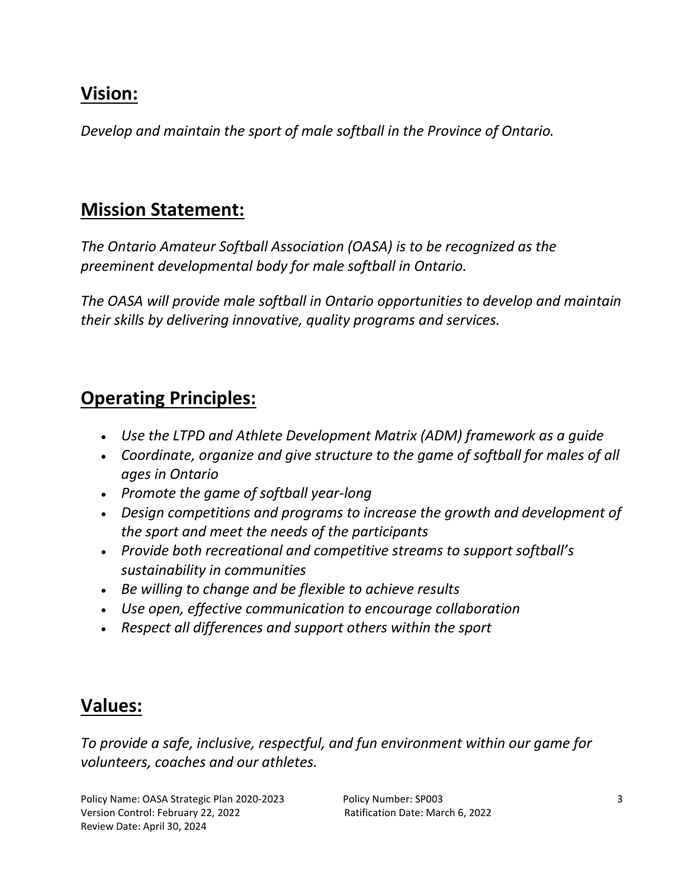# **Vision:**

*Develop and maintain the sport of male softball in the Province of Ontario.*

# **Mission Statement:**

*The Ontario Amateur Softball Association (OASA) is to be recognized as the preeminent developmental body for male softball in Ontario.*

*The OASA will provide male softball in Ontario opportunities to develop and maintain their skills by delivering innovative, quality programs and services.*

# **Operating Principles:**

- *Use the LTPD and Athlete Development Matrix (ADM) framework as a guide*
- *Coordinate, organize and give structure to the game of softball for males of all ages in Ontario*
- *Promote the game of softball year-long*
- *Design competitions and programs to increase the growth and development of the sport and meet the needs of the participants*
- *Provide both recreational and competitive streams to support softball's sustainability in communities*
- *Be willing to change and be flexible to achieve results*
- *Use open, effective communication to encourage collaboration*
- *Respect all differences and support others within the sport*

# **Values:**

*To provide a safe, inclusive, respectful, and fun environment within our game for volunteers, coaches and our athletes.*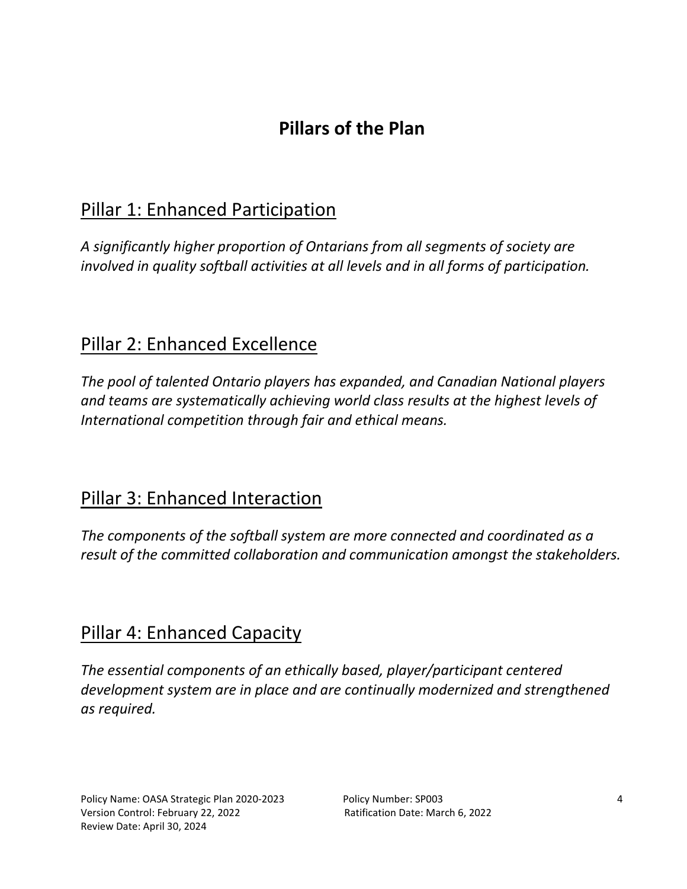# **Pillars of the Plan**

# Pillar 1: Enhanced Participation

*A significantly higher proportion of Ontarians from all segments of society are involved in quality softball activities at all levels and in all forms of participation.*

# Pillar 2: Enhanced Excellence

*The pool of talented Ontario players has expanded, and Canadian National players and teams are systematically achieving world class results at the highest levels of International competition through fair and ethical means.*

# Pillar 3: Enhanced Interaction

*The components of the softball system are more connected and coordinated as a result of the committed collaboration and communication amongst the stakeholders.*

# Pillar 4: Enhanced Capacity

*The essential components of an ethically based, player/participant centered development system are in place and are continually modernized and strengthened as required.*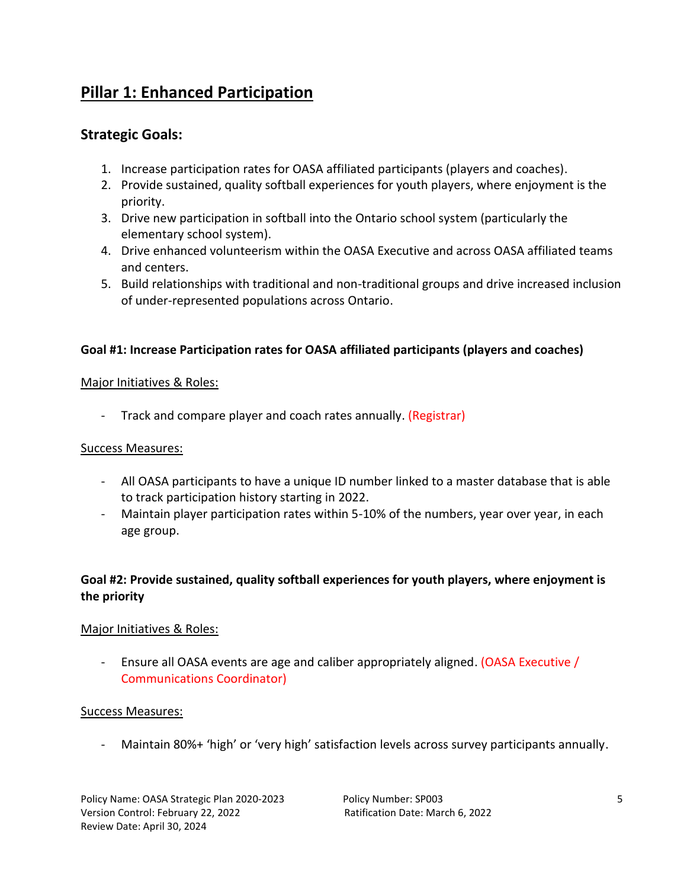# **Pillar 1: Enhanced Participation**

# **Strategic Goals:**

- 1. Increase participation rates for OASA affiliated participants (players and coaches).
- 2. Provide sustained, quality softball experiences for youth players, where enjoyment is the priority.
- 3. Drive new participation in softball into the Ontario school system (particularly the elementary school system).
- 4. Drive enhanced volunteerism within the OASA Executive and across OASA affiliated teams and centers.
- 5. Build relationships with traditional and non-traditional groups and drive increased inclusion of under-represented populations across Ontario.

# **Goal #1: Increase Participation rates for OASA affiliated participants (players and coaches)**

## Major Initiatives & Roles:

- Track and compare player and coach rates annually. (Registrar)

## Success Measures:

- All OASA participants to have a unique ID number linked to a master database that is able to track participation history starting in 2022.
- Maintain player participation rates within 5-10% of the numbers, year over year, in each age group.

# **Goal #2: Provide sustained, quality softball experiences for youth players, where enjoyment is the priority**

# Major Initiatives & Roles:

Ensure all OASA events are age and caliber appropriately aligned. (OASA Executive / Communications Coordinator)

# Success Measures:

- Maintain 80%+ 'high' or 'very high' satisfaction levels across survey participants annually.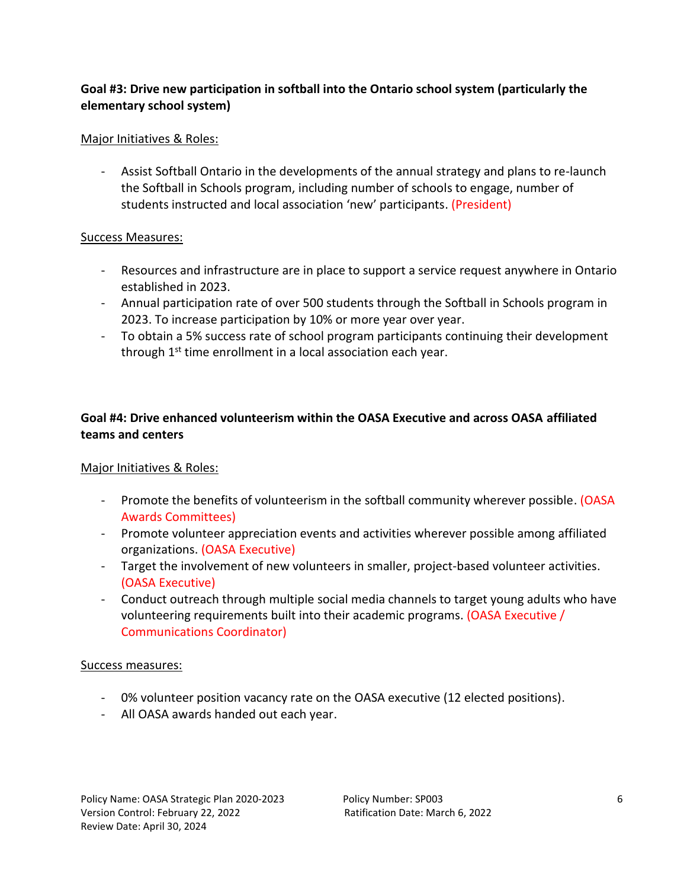# **Goal #3: Drive new participation in softball into the Ontario school system (particularly the elementary school system)**

## Major Initiatives & Roles:

- Assist Softball Ontario in the developments of the annual strategy and plans to re-launch the Softball in Schools program, including number of schools to engage, number of students instructed and local association 'new' participants. (President)

#### Success Measures:

- Resources and infrastructure are in place to support a service request anywhere in Ontario established in 2023.
- Annual participation rate of over 500 students through the Softball in Schools program in 2023. To increase participation by 10% or more year over year.
- To obtain a 5% success rate of school program participants continuing their development through 1<sup>st</sup> time enrollment in a local association each year.

# **Goal #4: Drive enhanced volunteerism within the OASA Executive and across OASA affiliated teams and centers**

## Major Initiatives & Roles:

- Promote the benefits of volunteerism in the softball community wherever possible. (OASA Awards Committees)
- Promote volunteer appreciation events and activities wherever possible among affiliated organizations. (OASA Executive)
- Target the involvement of new volunteers in smaller, project-based volunteer activities. (OASA Executive)
- Conduct outreach through multiple social media channels to target young adults who have volunteering requirements built into their academic programs. (OASA Executive / Communications Coordinator)

#### Success measures:

- 0% volunteer position vacancy rate on the OASA executive (12 elected positions).
- All OASA awards handed out each year.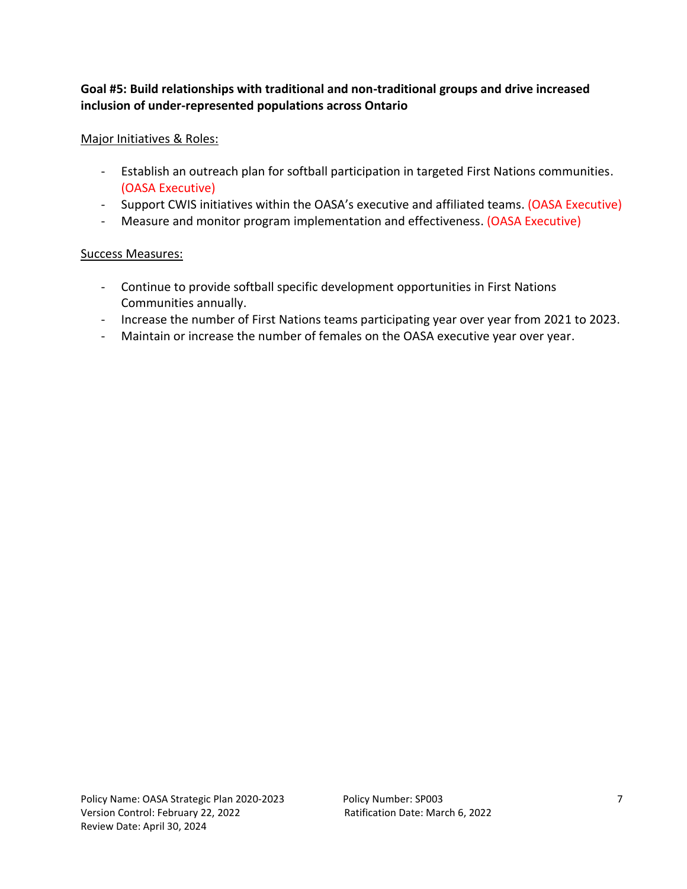## **Goal #5: Build relationships with traditional and non-traditional groups and drive increased inclusion of under-represented populations across Ontario**

## Major Initiatives & Roles:

- Establish an outreach plan for softball participation in targeted First Nations communities. (OASA Executive)
- Support CWIS initiatives within the OASA's executive and affiliated teams. (OASA Executive)
- Measure and monitor program implementation and effectiveness. (OASA Executive)

- Continue to provide softball specific development opportunities in First Nations Communities annually.
- Increase the number of First Nations teams participating year over year from 2021 to 2023.
- Maintain or increase the number of females on the OASA executive year over year.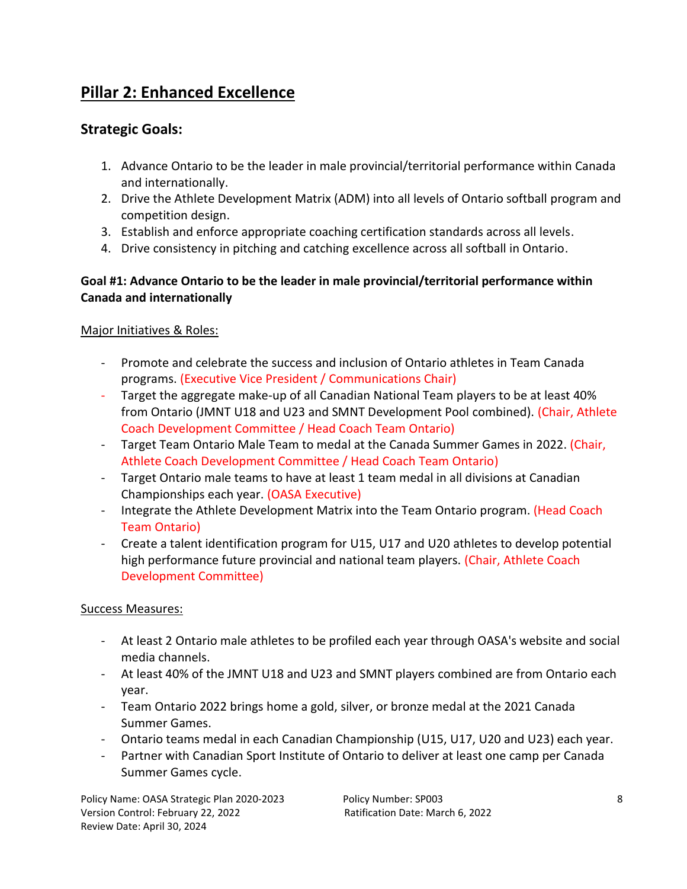# **Pillar 2: Enhanced Excellence**

# **Strategic Goals:**

- 1. Advance Ontario to be the leader in male provincial/territorial performance within Canada and internationally.
- 2. Drive the Athlete Development Matrix (ADM) into all levels of Ontario softball program and competition design.
- 3. Establish and enforce appropriate coaching certification standards across all levels.
- 4. Drive consistency in pitching and catching excellence across all softball in Ontario.

# **Goal #1: Advance Ontario to be the leader in male provincial/territorial performance within Canada and internationally**

# Major Initiatives & Roles:

- Promote and celebrate the success and inclusion of Ontario athletes in Team Canada programs. (Executive Vice President / Communications Chair)
- Target the aggregate make-up of all Canadian National Team players to be at least 40% from Ontario (JMNT U18 and U23 and SMNT Development Pool combined). (Chair, Athlete Coach Development Committee / Head Coach Team Ontario)
- Target Team Ontario Male Team to medal at the Canada Summer Games in 2022. (Chair, Athlete Coach Development Committee / Head Coach Team Ontario)
- Target Ontario male teams to have at least 1 team medal in all divisions at Canadian Championships each year. (OASA Executive)
- Integrate the Athlete Development Matrix into the Team Ontario program. (Head Coach Team Ontario)
- Create a talent identification program for U15, U17 and U20 athletes to develop potential high performance future provincial and national team players. (Chair, Athlete Coach Development Committee)

# Success Measures:

- At least 2 Ontario male athletes to be profiled each year through OASA's website and social media channels.
- At least 40% of the JMNT U18 and U23 and SMNT players combined are from Ontario each year.
- Team Ontario 2022 brings home a gold, silver, or bronze medal at the 2021 Canada Summer Games.
- Ontario teams medal in each Canadian Championship (U15, U17, U20 and U23) each year.
- Partner with Canadian Sport Institute of Ontario to deliver at least one camp per Canada Summer Games cycle.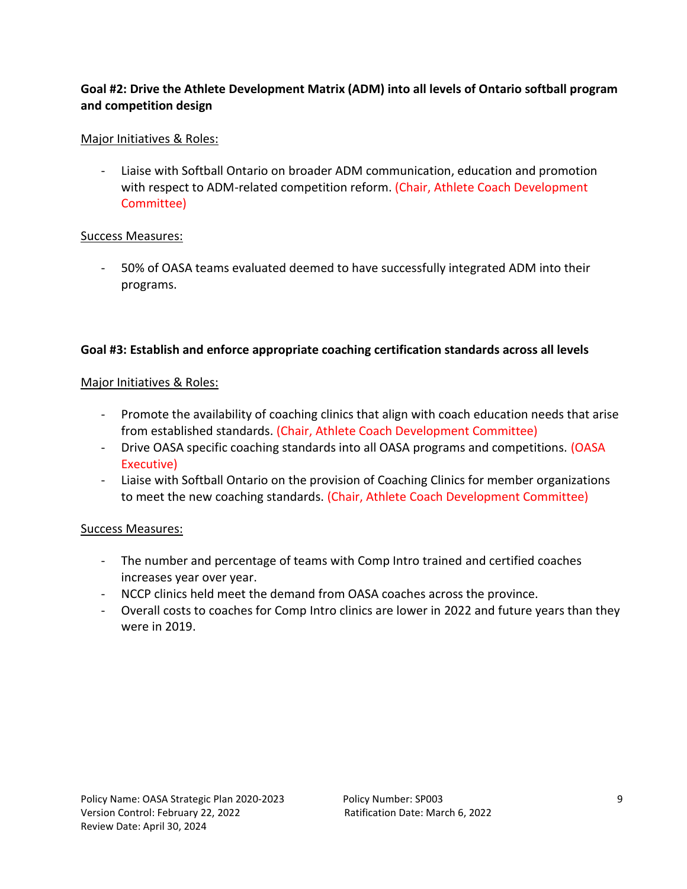# **Goal #2: Drive the Athlete Development Matrix (ADM) into all levels of Ontario softball program and competition design**

## Major Initiatives & Roles:

- Liaise with Softball Ontario on broader ADM communication, education and promotion with respect to ADM-related competition reform. (Chair, Athlete Coach Development Committee)

## Success Measures:

- 50% of OASA teams evaluated deemed to have successfully integrated ADM into their programs.

# **Goal #3: Establish and enforce appropriate coaching certification standards across all levels**

## Major Initiatives & Roles:

- Promote the availability of coaching clinics that align with coach education needs that arise from established standards. (Chair, Athlete Coach Development Committee)
- Drive OASA specific coaching standards into all OASA programs and competitions. (OASA Executive)
- Liaise with Softball Ontario on the provision of Coaching Clinics for member organizations to meet the new coaching standards. (Chair, Athlete Coach Development Committee)

- The number and percentage of teams with Comp Intro trained and certified coaches increases year over year.
- NCCP clinics held meet the demand from OASA coaches across the province.
- Overall costs to coaches for Comp Intro clinics are lower in 2022 and future years than they were in 2019.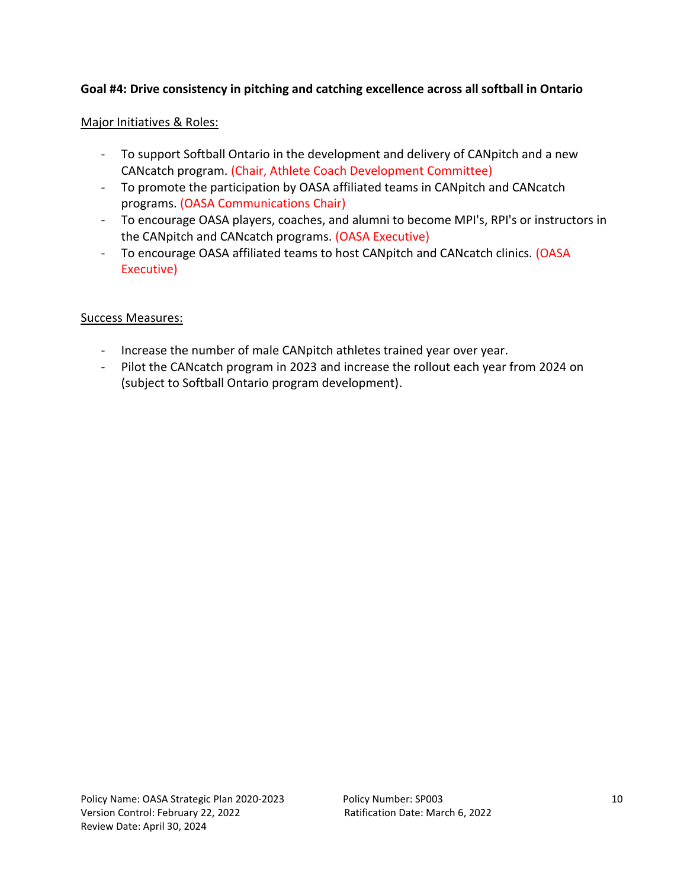## **Goal #4: Drive consistency in pitching and catching excellence across all softball in Ontario**

#### Major Initiatives & Roles:

- To support Softball Ontario in the development and delivery of CANpitch and a new CANcatch program. (Chair, Athlete Coach Development Committee)
- To promote the participation by OASA affiliated teams in CANpitch and CANcatch programs. (OASA Communications Chair)
- To encourage OASA players, coaches, and alumni to become MPI's, RPI's or instructors in the CANpitch and CANcatch programs. (OASA Executive)
- To encourage OASA affiliated teams to host CANpitch and CANcatch clinics. (OASA Executive)

- Increase the number of male CANpitch athletes trained year over year.
- Pilot the CANcatch program in 2023 and increase the rollout each year from 2024 on (subject to Softball Ontario program development).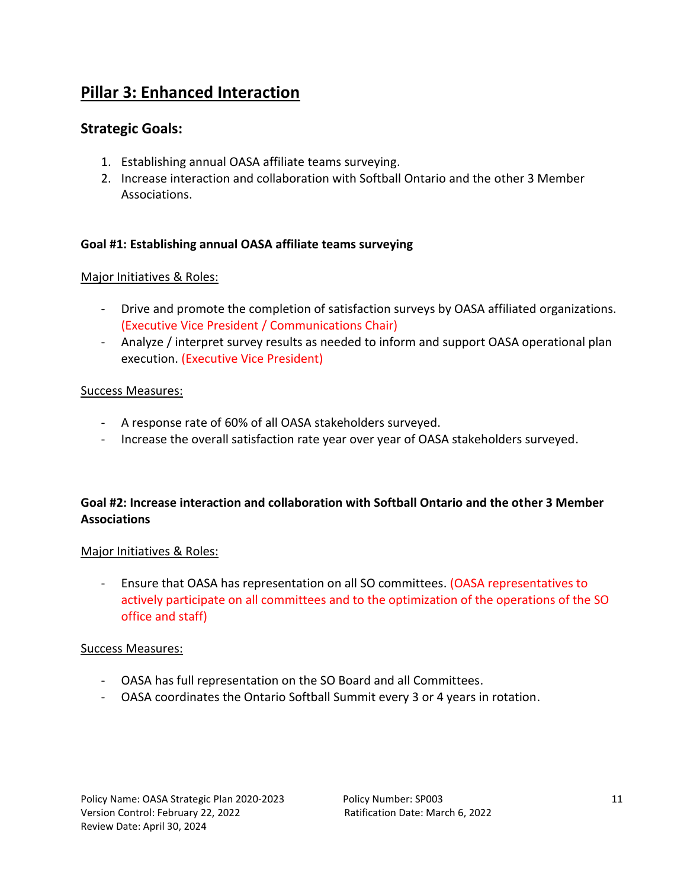# **Pillar 3: Enhanced Interaction**

# **Strategic Goals:**

- 1. Establishing annual OASA affiliate teams surveying.
- 2. Increase interaction and collaboration with Softball Ontario and the other 3 Member Associations.

## **Goal #1: Establishing annual OASA affiliate teams surveying**

#### Major Initiatives & Roles:

- Drive and promote the completion of satisfaction surveys by OASA affiliated organizations. (Executive Vice President / Communications Chair)
- Analyze / interpret survey results as needed to inform and support OASA operational plan execution. (Executive Vice President)

#### Success Measures:

- A response rate of 60% of all OASA stakeholders surveyed.
- Increase the overall satisfaction rate year over year of OASA stakeholders surveyed.

# **Goal #2: Increase interaction and collaboration with Softball Ontario and the other 3 Member Associations**

#### Major Initiatives & Roles:

- Ensure that OASA has representation on all SO committees. (OASA representatives to actively participate on all committees and to the optimization of the operations of the SO office and staff)

- OASA has full representation on the SO Board and all Committees.
- OASA coordinates the Ontario Softball Summit every 3 or 4 years in rotation.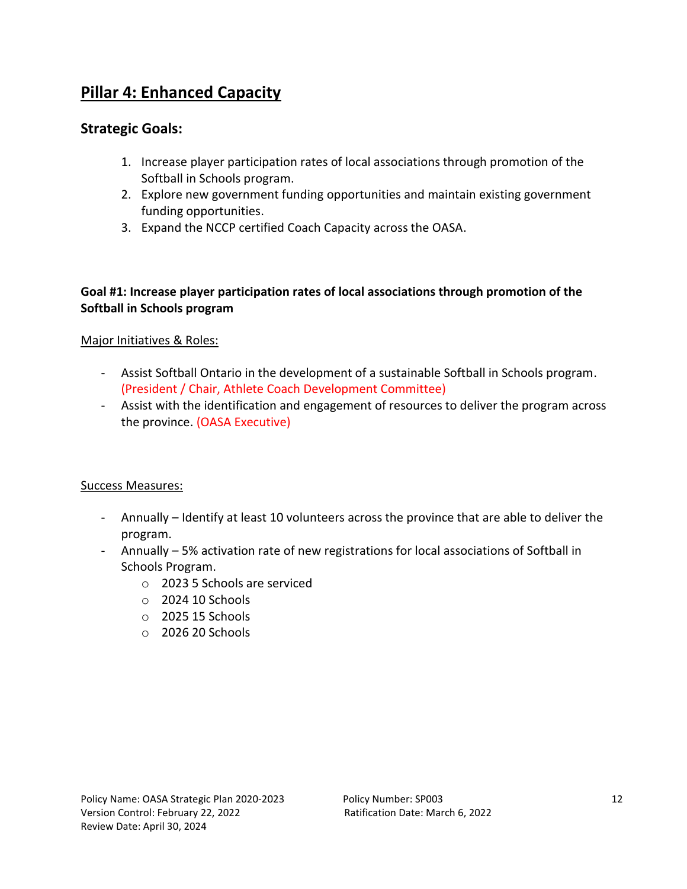# **Pillar 4: Enhanced Capacity**

# **Strategic Goals:**

- 1. Increase player participation rates of local associations through promotion of the Softball in Schools program.
- 2. Explore new government funding opportunities and maintain existing government funding opportunities.
- 3. Expand the NCCP certified Coach Capacity across the OASA.

## **Goal #1: Increase player participation rates of local associations through promotion of the Softball in Schools program**

## Major Initiatives & Roles:

- Assist Softball Ontario in the development of a sustainable Softball in Schools program. (President / Chair, Athlete Coach Development Committee)
- Assist with the identification and engagement of resources to deliver the program across the province. (OASA Executive)

- Annually Identify at least 10 volunteers across the province that are able to deliver the program.
- Annually 5% activation rate of new registrations for local associations of Softball in Schools Program.
	- o 2023 5 Schools are serviced
	- o 2024 10 Schools
	- o 2025 15 Schools
	- o 2026 20 Schools